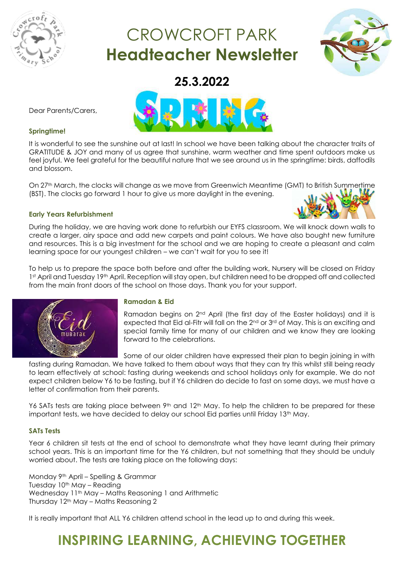

# CROWCROFT PARK **Headteacher Newsletter**



**25.3.2022**



### **Springtime!**

Dear Parents/Carers,

It is wonderful to see the sunshine out at last! In school we have been talking about the character traits of GRATITUDE & JOY and many of us agree that sunshine, warm weather and time spent outdoors make us feel joyful. We feel grateful for the beautiful nature that we see around us in the springtime: birds, daffodils and blossom.

On 27<sup>th</sup> March, the clocks will change as we move from Greenwich Meantime (GMT) to British Summertime (BST). The clocks go forward 1 hour to give us more daylight in the evening.

### **Early Years Refurbishment**

During the holiday, we are having work done to refurbish our EYFS classroom. We will knock down walls to create a larger, airy space and add new carpets and paint colours. We have also bought new furniture and resources. This is a big investment for the school and we are hoping to create a pleasant and calm learning space for our youngest children – we can't wait for you to see it!

To help us to prepare the space both before and after the building work, Nursery will be closed on Friday 1st April and Tuesday 19th April. Reception will stay open, but children need to be dropped off and collected from the main front doors of the school on those days. Thank you for your support.



### **Ramadan & Eid**

Ramadan begins on 2nd April (the first day of the Easter holidays) and it is expected that Eid al-Fitr will fall on the 2<sup>nd</sup> or 3<sup>rd</sup> of May. This is an exciting and special family time for many of our children and we know they are looking forward to the celebrations.

Some of our older children have expressed their plan to begin joining in with

fasting during Ramadan. We have talked to them about ways that they can try this whilst still being ready to learn effectively at school: fasting during weekends and school holidays only for example. We do not expect children below Y6 to be fasting, but if Y6 children do decide to fast on some days, we must have a letter of confirmation from their parents.

Y6 SATs tests are taking place between 9<sup>th</sup> and 12<sup>th</sup> May. To help the children to be prepared for these important tests, we have decided to delay our school Eid parties until Friday 13<sup>th</sup> May.

### **SATs Tests**

Year 6 children sit tests at the end of school to demonstrate what they have learnt during their primary school years. This is an important time for the Y6 children, but not something that they should be unduly worried about. The tests are taking place on the following days:

Monday 9th April – Spelling & Grammar Tuesday 10<sup>th</sup> May – Reading Wednesday 11<sup>th</sup> May – Maths Reasoning 1 and Arithmetic Thursday 12th May – Maths Reasoning 2

It is really important that ALL Y6 children attend school in the lead up to and during this week.

### **INSPIRING LEARNING, ACHIEVING TOGETHER**